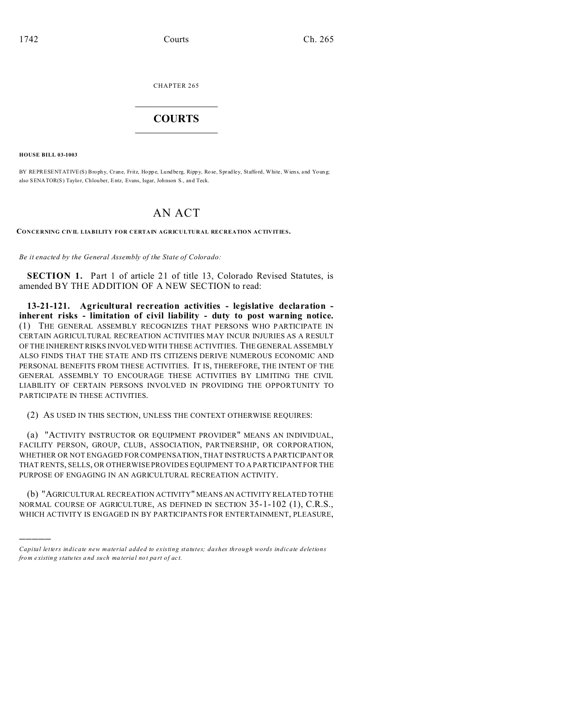CHAPTER 265

## **COURTS**

**HOUSE BILL 03-1003** 

BY REPRESENT ATIVE (S) Brophy, Crane, Fritz, Hoppe, Lundberg, Rippy, Rose, Spradley, Stafford, White, Wiens, and Young; also SENATOR(S) Taylor, Chlouber, Entz, Evans, Isgar, Johnson S., and Teck.

## AN ACT

CONCERNING CIVIL LIABILITY FOR CERTAIN AGRICULTURAL RECREATION ACTIVITIES.

Be it enacted by the General Assembly of the State of Colorado:

**SECTION 1.** Part 1 of article 21 of title 13, Colorado Revised Statutes, is amended BY THE ADDITION OF A NEW SECTION to read:

13-21-121. Agricultural recreation activities - legislative declaration inherent risks - limitation of civil liability - duty to post warning notice. (1) THE GENERAL ASSEMBLY RECOGNIZES THAT PERSONS WHO PARTICIPATE IN CERTAIN AGRICULTURAL RECREATION ACTIVITIES MAY INCUR INJURIES AS A RESULT OF THE INHERENT RISKS INVOLVED WITH THESE ACTIVITIES. THE GENERAL ASSEMBLY ALSO FINDS THAT THE STATE AND ITS CITIZENS DERIVE NUMEROUS ECONOMIC AND PERSONAL BENEFITS FROM THESE ACTIVITIES. IT IS, THEREFORE, THE INTENT OF THE GENERAL ASSEMBLY TO ENCOURAGE THESE ACTIVITIES BY LIMITING THE CIVIL LIABILITY OF CERTAIN PERSONS INVOLVED IN PROVIDING THE OPPORTUNITY TO PARTICIPATE IN THESE ACTIVITIES.

(2) AS USED IN THIS SECTION, UNLESS THE CONTEXT OTHERWISE REQUIRES:

(a) "ACTIVITY INSTRUCTOR OR EQUIPMENT PROVIDER" MEANS AN INDIVIDUAL, FACILITY PERSON, GROUP, CLUB, ASSOCIATION, PARTNERSHIP, OR CORPORATION, WHETHER OR NOT ENGAGED FOR COMPENSATION, THAT INSTRUCTS A PARTICIPANT OR THAT RENTS, SELLS, OR OTHERWISE PROVIDES EQUIPMENT TO A PARTICIPANT FOR THE PURPOSE OF ENGAGING IN AN AGRICULTURAL RECREATION ACTIVITY.

(b) "AGRICULTURAL RECREATION ACTIVITY" MEANS AN ACTIVITY RELATED TO THE NORMAL COURSE OF AGRICULTURE, AS DEFINED IN SECTION 35-1-102 (1), C.R.S., WHICH ACTIVITY IS ENGAGED IN BY PARTICIPANTS FOR ENTERTAINMENT, PLEASURE,

Capital letters indicate new material added to existing statutes; dashes through words indicate deletions from existing statutes and such material not part of act.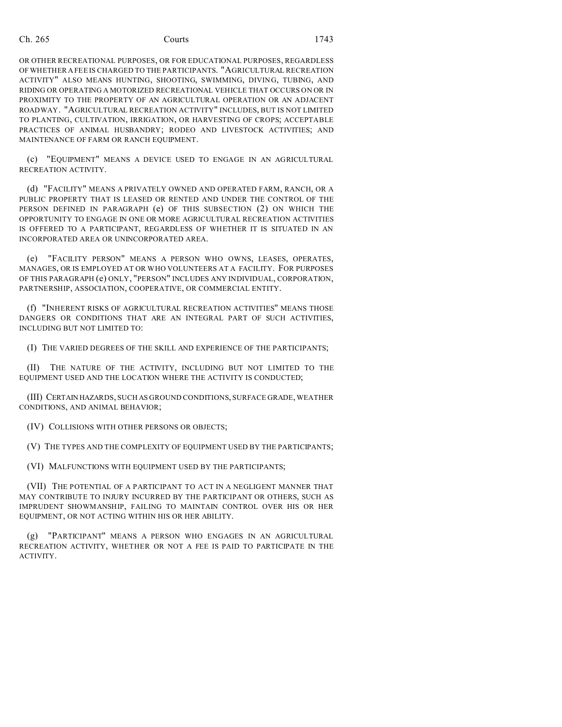OR OTHER RECREATIONAL PURPOSES, OR FOR EDUCATIONAL PURPOSES, REGARDLESS OF WHETHER A FEE IS CHARGED TO THE PARTICIPANTS. "AGRICULTURAL RECREATION ACTIVITY" ALSO MEANS HUNTING, SHOOTING, SWIMMING, DIVING, TUBING, AND RIDING OR OPERATING A MOTORIZED RECREATIONAL VEHICLE THAT OCCURS ON OR IN PROXIMITY TO THE PROPERTY OF AN AGRICULTURAL OPERATION OR AN ADJACENT ROADWAY. "AGRICULTURAL RECREATION ACTIVITY" INCLUDES, BUT IS NOT LIMITED TO PLANTING, CULTIVATION, IRRIGATION, OR HARVESTING OF CROPS; ACCEPTABLE PRACTICES OF ANIMAL HUSBANDRY; RODEO AND LIVESTOCK ACTIVITIES; AND MAINTENANCE OF FARM OR RANCH EQUIPMENT.

(c) "EQUIPMENT" MEANS A DEVICE USED TO ENGAGE IN AN AGRICULTURAL RECREATION ACTIVITY.

(d) "FACILITY" MEANS A PRIVATELY OWNED AND OPERATED FARM, RANCH, OR A PUBLIC PROPERTY THAT IS LEASED OR RENTED AND UNDER THE CONTROL OF THE PERSON DEFINED IN PARAGRAPH (e) OF THIS SUBSECTION (2) ON WHICH THE OPPORTUNITY TO ENGAGE IN ONE OR MORE AGRICULTURAL RECREATION ACTIVITIES IS OFFERED TO A PARTICIPANT, REGARDLESS OF WHETHER IT IS SITUATED IN AN INCORPORATED AREA OR UNINCORPORATED AREA.

(e) "FACILITY PERSON" MEANS A PERSON WHO OWNS, LEASES, OPERATES, MANAGES, OR IS EMPLOYED AT OR WHO VOLUNTEERS AT A FACILITY. FOR PURPOSES OF THIS PARAGRAPH (e) ONLY, "PERSON" INCLUDES ANY INDIVIDUAL, CORPORATION, PARTNERSHIP, ASSOCIATION, COOPERATIVE, OR COMMERCIAL ENTITY.

(f) "INHERENT RISKS OF AGRICULTURAL RECREATION ACTIVITIES" MEANS THOSE DANGERS OR CONDITIONS THAT ARE AN INTEGRAL PART OF SUCH ACTIVITIES, INCLUDING BUT NOT LIMITED TO:

(I) THE VARIED DEGREES OF THE SKILL AND EXPERIENCE OF THE PARTICIPANTS;

(II) THE NATURE OF THE ACTIVITY, INCLUDING BUT NOT LIMITED TO THE EQUIPMENT USED AND THE LOCATION WHERE THE ACTIVITY IS CONDUCTED;

(III) CERTAIN HAZARDS, SUCH AS GROUND CONDITIONS, SURFACE GRADE, WEATHER CONDITIONS, AND ANIMAL BEHAVIOR;

(IV) COLLISIONS WITH OTHER PERSONS OR OBJECTS;

(V) THE TYPES AND THE COMPLEXITY OF EQUIPMENT USED BY THE PARTICIPANTS;

(VI) MALFUNCTIONS WITH EQUIPMENT USED BY THE PARTICIPANTS;

(VII) THE POTENTIAL OF A PARTICIPANT TO ACT IN A NEGLIGENT MANNER THAT MAY CONTRIBUTE TO INJURY INCURRED BY THE PARTICIPANT OR OTHERS, SUCH AS IMPRUDENT SHOWMANSHIP, FAILING TO MAINTAIN CONTROL OVER HIS OR HER EQUIPMENT, OR NOT ACTING WITHIN HIS OR HER ABILITY.

(g) "PARTICIPANT" MEANS A PERSON WHO ENGAGES IN AN AGRICULTURAL RECREATION ACTIVITY, WHETHER OR NOT A FEE IS PAID TO PARTICIPATE IN THE ACTIVITY.